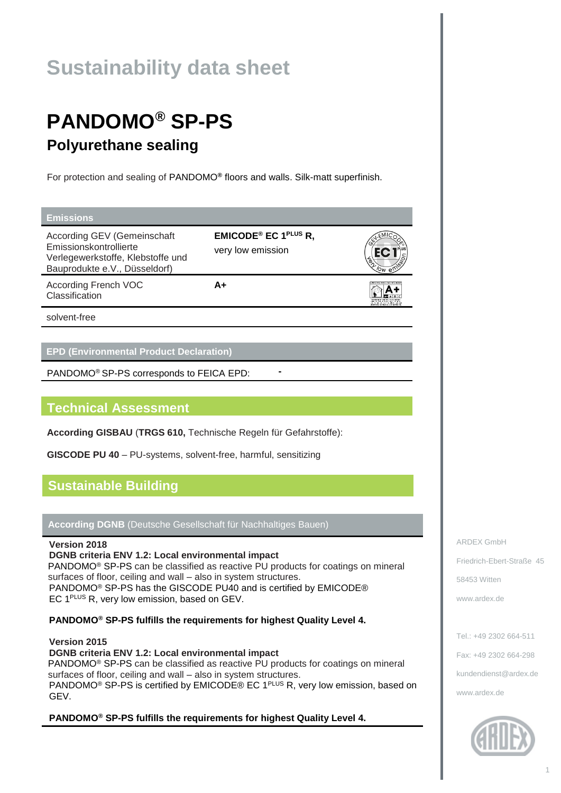# **Sustainability data sheet**

# **PANDOMO® SP-PS Polyurethane sealing**

For protection and sealing of PANDOMO**®** floors and walls. Silk-matt superfinish.

**A+**

#### **Emissions**

According GEV (Gemeinschaft Emissionskontrollierte Verlegewerkstoffe, Klebstoffe und Bauprodukte e.V., Düsseldorf)

**EMICODE® EC 1PLUS R,** very low emission

According French VOC

A+

solvent-free

Classification

### **EPD (Environmental Product Declaration)**

PANDOMO® SP-PS corresponds to FEICA EPD: **-**

## **Technical Assessment**

**According GISBAU** (**TRGS 610,** Technische Regeln für Gefahrstoffe):

**GISCODE PU 40** – PU-systems, solvent-free, harmful, sensitizing

## **Sustainable Building**

**According DGNB** (Deutsche Gesellschaft für Nachhaltiges Bauen)

### **Version 2018**

**DGNB criteria ENV 1.2: Local environmental impact** PANDOMO® SP-PS can be classified as reactive PU products for coatings on mineral surfaces of floor, ceiling and wall – also in system structures. PANDOMO® SP-PS has the GISCODE PU40 and is certified by EMICODE® EC 1<sup>PLUS</sup> R, very low emission, based on GEV.

**PANDOMO® SP-PS fulfills the requirements for highest Quality Level 4.**

**Version 2015 DGNB criteria ENV 1.2: Local environmental impact** PANDOMO<sup>®</sup> SP-PS can be classified as reactive PU products for coatings on mineral surfaces of floor, ceiling and wall – also in system structures. PANDOMO<sup>®</sup> SP-PS is certified by EMICODE® EC 1<sup>PLUS</sup> R, very low emission, based on GEV.

**PANDOMO® SP-PS fulfills the requirements for highest Quality Level 4.**

ARDEX GmbH Friedrich-Ebert-Straße 45 58453 Witten [www.ardex.de](http://www.ardex.de/)

Tel.: +49 2302 664-511 Fax: +49 2302 664-298 [kundendienst@ardex.de](mailto:kundendienst@ardex.de) [www.ardex.de](http://www.ardex.de/)